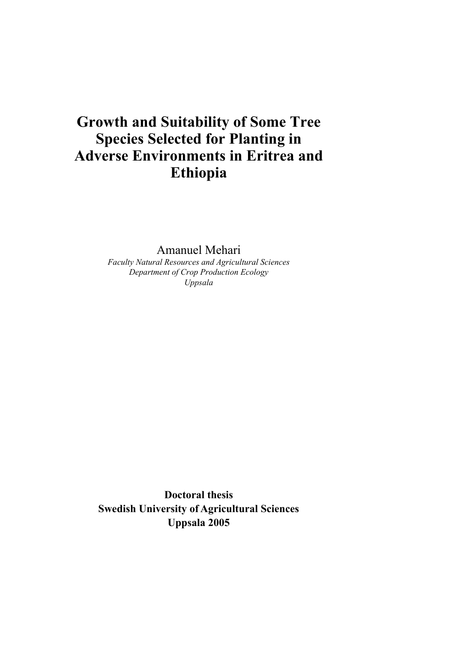# **Growth and Suitability of Some Tree Species Selected for Planting in Adverse Environments in Eritrea and Ethiopia**

Amanuel Mehari

*Faculty Natural Resources and Agricultural Sciences Department of Crop Production Ecology Uppsala* 

**Doctoral thesis Swedish University of Agricultural Sciences Uppsala 2005**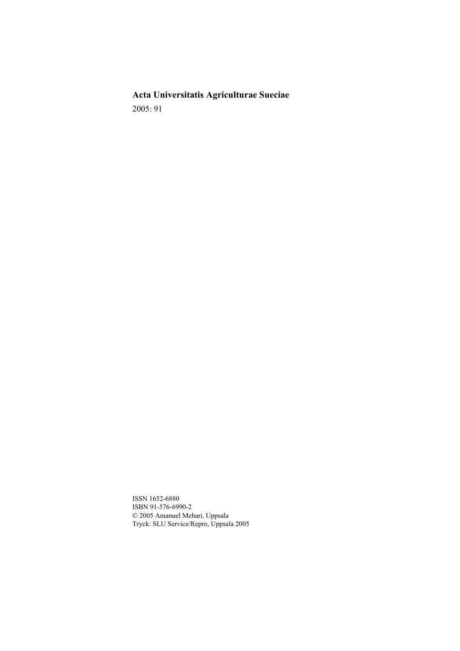**Acta Universitatis Agriculturae Sueciae**  2005: 91

ISSN 1652-6880 ISBN 91-576-6990-2 © 2005 Amanuel Mehari, Uppsala Tryck: SLU Service/Repro, Uppsala 2005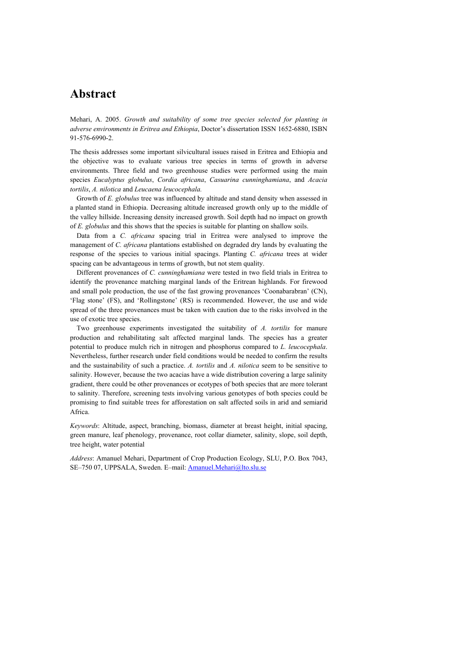## **Abstract**

Mehari, A. 2005. *Growth and suitability of some tree species selected for planting in adverse environments in Eritrea and Ethiopia*, Doctor's dissertation ISSN 1652-6880, ISBN 91-576-6990-2.

The thesis addresses some important silvicultural issues raised in Eritrea and Ethiopia and the objective was to evaluate various tree species in terms of growth in adverse environments. Three field and two greenhouse studies were performed using the main species *Eucalyptus globulus*, *Cordia africana*, *Casuarina cunninghamiana*, and *Acacia tortilis*, *A. nilotica* and *Leucaena leucocephala.*

Growth of *E. globulus* tree was influenced by altitude and stand density when assessed in a planted stand in Ethiopia. Decreasing altitude increased growth only up to the middle of the valley hillside. Increasing density increased growth. Soil depth had no impact on growth of *E. globulus* and this shows that the species is suitable for planting on shallow soils.

Data from a *C. africana* spacing trial in Eritrea were analysed to improve the management of *C. africana* plantations established on degraded dry lands by evaluating the response of the species to various initial spacings. Planting *C. africana* trees at wider spacing can be advantageous in terms of growth, but not stem quality.

Different provenances of *C. cunninghamiana* were tested in two field trials in Eritrea to identify the provenance matching marginal lands of the Eritrean highlands. For firewood and small pole production, the use of the fast growing provenances 'Coonabarabran' (CN), 'Flag stone' (FS), and 'Rollingstone' (RS) is recommended. However, the use and wide spread of the three provenances must be taken with caution due to the risks involved in the use of exotic tree species.

Two greenhouse experiments investigated the suitability of *A. tortilis* for manure production and rehabilitating salt affected marginal lands. The species has a greater potential to produce mulch rich in nitrogen and phosphorus compared to *L. leucocephala*. Nevertheless, further research under field conditions would be needed to confirm the results and the sustainability of such a practice. *A. tortilis* and *A. nilotica* seem to be sensitive to salinity. However, because the two acacias have a wide distribution covering a large salinity gradient, there could be other provenances or ecotypes of both species that are more tolerant to salinity. Therefore, screening tests involving various genotypes of both species could be promising to find suitable trees for afforestation on salt affected soils in arid and semiarid Africa.

*Keywords*: Altitude, aspect, branching, biomass, diameter at breast height, initial spacing, green manure, leaf phenology, provenance, root collar diameter, salinity, slope, soil depth, tree height, water potential

*Address*: Amanuel Mehari, Department of Crop Production Ecology, SLU, P.O. Box 7043, SE–750 07, UPPSALA, Sweden. E–mail: Amanuel.Mehari@lto.slu.se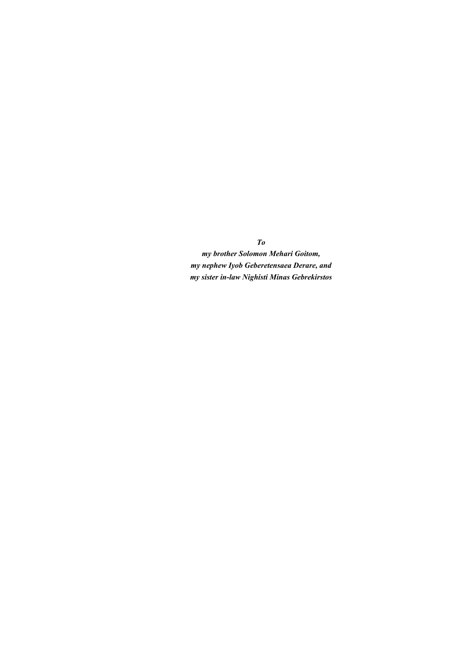*To my brother Solomon Mehari Goitom, my nephew Iyob Geberetensaea Derare, and my sister in-law Nighisti Minas Gebrekirstos*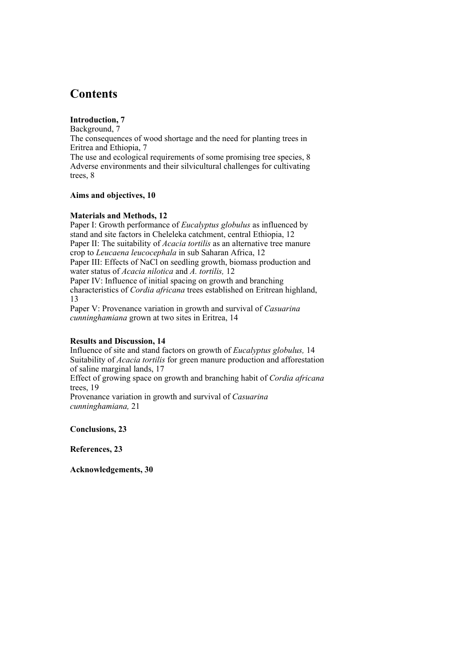# **Contents**

### **Introduction, 7**

Background, 7 The consequences of wood shortage and the need for planting trees in Eritrea and Ethiopia, 7

The use and ecological requirements of some promising tree species, 8 Adverse environments and their silvicultural challenges for cultivating trees, 8

#### **Aims and objectives, 10**

### **Materials and Methods, 12**

Paper I: Growth performance of *Eucalyptus globulus* as influenced by stand and site factors in Cheleleka catchment, central Ethiopia, 12 Paper II: The suitability of *Acacia tortilis* as an alternative tree manure crop to *Leucaena leucocephala* in sub Saharan Africa, 12 Paper III: Effects of NaCl on seedling growth, biomass production and water status of *Acacia nilotica* and *A. tortilis,* 12 Paper IV: Influence of initial spacing on growth and branching

characteristics of *Cordia africana* trees established on Eritrean highland, 13

Paper V: Provenance variation in growth and survival of *Casuarina cunninghamiana* grown at two sites in Eritrea, 14

### **Results and Discussion, 14**

Influence of site and stand factors on growth of *Eucalyptus globulus,* 14 Suitability of *Acacia tortilis* for green manure production and afforestation of saline marginal lands, 17

Effect of growing space on growth and branching habit of *Cordia africana* trees, 19

Provenance variation in growth and survival of *Casuarina cunninghamiana,* 21

**Conclusions, 23** 

**References, 23** 

**Acknowledgements, 30**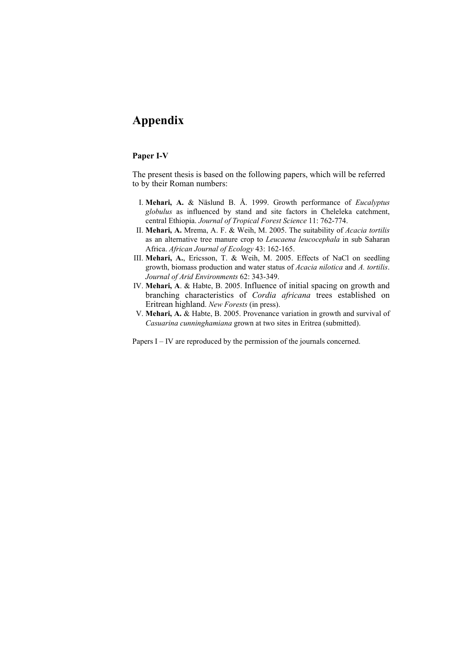# **Appendix**

#### **Paper I-V**

The present thesis is based on the following papers, which will be referred to by their Roman numbers:

- I. **Mehari, A.** & Näslund B. Å. 1999. Growth performance of *Eucalyptus globulus* as influenced by stand and site factors in Cheleleka catchment, central Ethiopia. *Journal of Tropical Forest Science* 11: 762-774.
- II. **Mehari, A.** Mrema, A. F. & Weih, M. 2005. The suitability of *Acacia tortilis* as an alternative tree manure crop to *Leucaena leucocephala* in sub Saharan Africa. *African Journal of Ecology* 43: 162-165.
- III. **Mehari, A.**, Ericsson, T. & Weih, M. 2005. Effects of NaCl on seedling growth, biomass production and water status of *Acacia nilotica* and *A. tortilis*. *Journal of Arid Environments* 62: 343-349.
- IV. **Mehari, A**. & Habte, B. 2005. Influence of initial spacing on growth and branching characteristics of *Cordia africana* trees established on Eritrean highland. *New Forests* (in press).
- V. **Mehari, A.** & Habte, B. 2005. Provenance variation in growth and survival of *Casuarina cunninghamiana* grown at two sites in Eritrea (submitted).

Papers I – IV are reproduced by the permission of the journals concerned.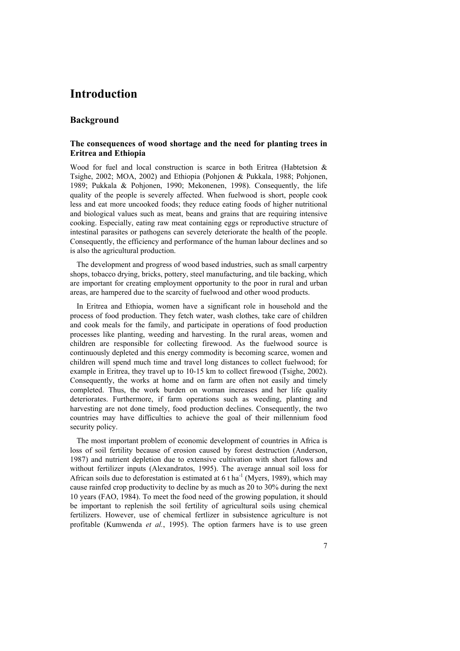# **Introduction**

#### **Background**

#### **The consequences of wood shortage and the need for planting trees in Eritrea and Ethiopia**

Wood for fuel and local construction is scarce in both Eritrea (Habtetsion & Tsighe, 2002; MOA, 2002) and Ethiopia (Pohjonen & Pukkala, 1988; Pohjonen, 1989; Pukkala & Pohjonen, 1990; Mekonenen, 1998). Consequently, the life quality of the people is severely affected. When fuelwood is short, people cook less and eat more uncooked foods; they reduce eating foods of higher nutritional and biological values such as meat, beans and grains that are requiring intensive cooking. Especially, eating raw meat containing eggs or reproductive structure of intestinal parasites or pathogens can severely deteriorate the health of the people. Consequently, the efficiency and performance of the human labour declines and so is also the agricultural production.

The development and progress of wood based industries, such as small carpentry shops, tobacco drying, bricks, pottery, steel manufacturing, and tile backing, which are important for creating employment opportunity to the poor in rural and urban areas, are hampered due to the scarcity of fuelwood and other wood products.

In Eritrea and Ethiopia, women have a significant role in household and the process of food production. They fetch water, wash clothes, take care of children and cook meals for the family, and participate in operations of food production processes like planting, weeding and harvesting. In the rural areas, women and children are responsible for collecting firewood. As the fuelwood source is continuously depleted and this energy commodity is becoming scarce, women and children will spend much time and travel long distances to collect fuelwood; for example in Eritrea, they travel up to 10-15 km to collect firewood (Tsighe, 2002). Consequently, the works at home and on farm are often not easily and timely completed. Thus, the work burden on woman increases and her life quality deteriorates. Furthermore, if farm operations such as weeding, planting and harvesting are not done timely, food production declines. Consequently, the two countries may have difficulties to achieve the goal of their millennium food security policy.

The most important problem of economic development of countries in Africa is loss of soil fertility because of erosion caused by forest destruction (Anderson, 1987) and nutrient depletion due to extensive cultivation with short fallows and without fertilizer inputs (Alexandratos, 1995). The average annual soil loss for African soils due to deforestation is estimated at 6 t ha<sup>-1</sup> (Myers, 1989), which may cause rainfed crop productivity to decline by as much as 20 to 30% during the next 10 years (FAO, 1984). To meet the food need of the growing population, it should be important to replenish the soil fertility of agricultural soils using chemical fertilizers. However, use of chemical fertlizer in subsistence agriculture is not profitable (Kumwenda *et al.*, 1995). The option farmers have is to use green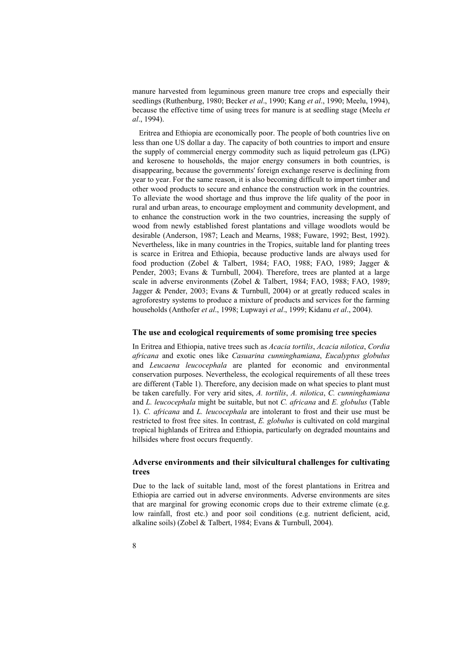manure harvested from leguminous green manure tree crops and especially their seedlings (Ruthenburg, 1980; Becker *et al*., 1990; Kang *et al*., 1990; Meelu, 1994), because the effective time of using trees for manure is at seedling stage (Meelu *et al*., 1994).

Eritrea and Ethiopia are economically poor. The people of both countries live on less than one US dollar a day. The capacity of both countries to import and ensure the supply of commercial energy commodity such as liquid petroleum gas (LPG) and kerosene to households, the major energy consumers in both countries, is disappearing, because the governments' foreign exchange reserve is declining from year to year. For the same reason, it is also becoming difficult to import timber and other wood products to secure and enhance the construction work in the countries. To alleviate the wood shortage and thus improve the life quality of the poor in rural and urban areas, to encourage employment and community development, and to enhance the construction work in the two countries, increasing the supply of wood from newly established forest plantations and village woodlots would be desirable (Anderson, 1987; Leach and Mearns, 1988; Fuware, 1992; Best, 1992). Nevertheless, like in many countries in the Tropics, suitable land for planting trees is scarce in Eritrea and Ethiopia, because productive lands are always used for food production (Zobel & Talbert, 1984; FAO, 1988; FAO, 1989; Jagger & Pender, 2003; Evans & Turnbull, 2004). Therefore, trees are planted at a large scale in adverse environments (Zobel & Talbert, 1984; FAO, 1988; FAO, 1989; Jagger & Pender, 2003; Evans & Turnbull, 2004) or at greatly reduced scales in agroforestry systems to produce a mixture of products and services for the farming households (Anthofer *et al*., 1998; Lupwayi *et al*., 1999; Kidanu *et al*., 2004).

#### **The use and ecological requirements of some promising tree species**

In Eritrea and Ethiopia, native trees such as *Acacia tortilis*, *Acacia nilotica*, *Cordia africana* and exotic ones like *Casuarina cunninghamiana*, *Eucalyptus globulus* and *Leucaena leucocephala* are planted for economic and environmental conservation purposes. Nevertheless, the ecological requirements of all these trees are different (Table 1). Therefore, any decision made on what species to plant must be taken carefully. For very arid sites, *A. tortilis*, *A. nilotica*, *C. cunninghamiana* and *L. leucocephala* might be suitable, but not *C. africana* and *E. globulus* (Table 1). *C. africana* and *L. leucocephala* are intolerant to frost and their use must be restricted to frost free sites. In contrast, *E. globulus* is cultivated on cold marginal tropical highlands of Eritrea and Ethiopia, particularly on degraded mountains and hillsides where frost occurs frequently.

#### **Adverse environments and their silvicultural challenges for cultivating trees**

Due to the lack of suitable land, most of the forest plantations in Eritrea and Ethiopia are carried out in adverse environments. Adverse environments are sites that are marginal for growing economic crops due to their extreme climate (e.g. low rainfall, frost etc.) and poor soil conditions (e.g. nutrient deficient, acid, alkaline soils) (Zobel & Talbert, 1984; Evans & Turnbull, 2004).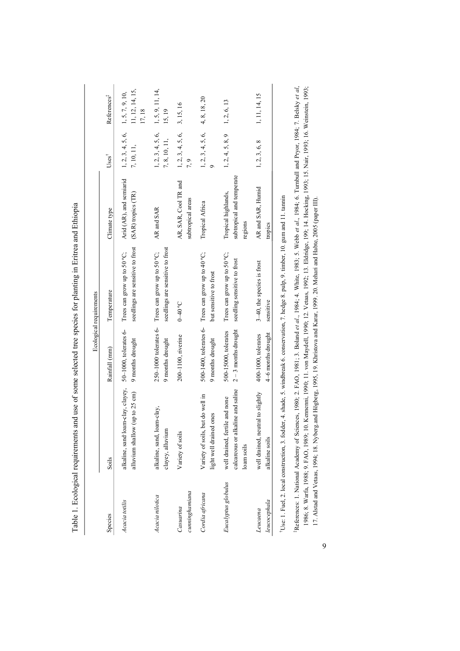|                             |                                                                                                                             |                                              | Ecological requirements                                                                |                                                             |                                    |                                              |
|-----------------------------|-----------------------------------------------------------------------------------------------------------------------------|----------------------------------------------|----------------------------------------------------------------------------------------|-------------------------------------------------------------|------------------------------------|----------------------------------------------|
| Species                     | Soils                                                                                                                       | Rainfall (mm)                                | Temperature                                                                            | Climate type                                                | $Uses^{\dagger}$                   | References <sup>#</sup>                      |
| Acacia totilis              | alkaline, sand loam-clay, clayey,<br>alluvium shallow (up to 25 cm)                                                         | 50-1000, tolerates 6-<br>9 months drought    | seedlings are sensitive to frost<br>Trees can grow up to 50 °C;                        | Arid (AR), and semiarid<br>(SAR) tropics (TR)               | 1, 2, 3, 4, 5, 6,<br>7, 10, 11,    | 11, 12, 14, 15,<br>1, 5, 7, 9, 10,<br>17, 18 |
| Acacia nilotica             | alkaline, sand, loam-clay,<br>clayey, alluvium                                                                              | 9 months drought                             | seedlings are sensitive to frost<br>250-1000 tolerates 6- Trees can grow up to 50 °C;  | AR and SAR                                                  | 1, 2, 3, 4, 5, 6,<br>7, 8, 10, 11, | 1, 5, 9, 11, 14,<br>15, 19                   |
| cunninghamiana<br>Casuarina | Variety of soils                                                                                                            | 200-1100, riverine                           | $0-40$ °C                                                                              | AR, SAR, Cool TR and<br>subtropical areas                   | 1, 2, 3, 4, 5, 6,<br>7, 9          | 3, 15, 16                                    |
| Cordia africana             | but do well in<br>ones<br>light well drained<br>Variety of soils,                                                           | 9 months drought                             | 500-1400, tolerates 6- Trees can grow up to 40 $^{\circ}$ C;<br>but sensitive to frost | Tropical Africa                                             | 1, 2, 3, 4, 5, 6,                  | 4, 8, 18, 20                                 |
| Eucalyptus globulus         | calcareous or alkaline and saline<br>well drained, fertile and none<br>loam soils                                           | $2-3$ months drought<br>500-15000, tolerates | Trees can grow up to 50 °C;<br>seedling sensitive to frost                             | subtropical and temperate<br>Tropical highlands,<br>regions | 1, 2, 4, 5, 8, 9                   | 1, 2, 6, 13                                  |
| leucocephala<br>Leucaena    | well drained, neutral to slightly<br>alkaline soils                                                                         | 4-6 months drought<br>400-1000, tolerates    | 3-40, the species is frost<br>sensitive                                                | AR and SAR, Humid<br>tropics                                | 1, 2, 3, 6, 8                      | 1, 11, 14, 15                                |
|                             | Tise: 1 Finel 2 local construction 3 fodder 4 shade 5 windbreak 6 conservation 7 hedge 8 pulp 9 timber 10 gum and 11 tannin |                                              |                                                                                        |                                                             |                                    |                                              |

Table 1. Ecological requirements and use of some selected tree species for planting in Eritrea and Ethiopia Table 1. Ecological requirements and use of some selected tree species for planting in Eritrea and Ethiopia †Use: 1. Fuel, 2. local construction, 3. fodder, 4. shade, 5. windbreak 6. conservation, 7. hedge 8. pulp, 9. timber, 10. gum and 11. tannin  $I, IV. 3H$ e qma s. amp, s п, /. ر<br>د  $1, 4.$ ر 1, 51, 4

1986; 8. Warfa, 1988; 9. FAO, 1989; 10. Kennenni, 1990; 11. von Maydell, 1990; 12. Vetaas, 1992; 13. Eldridge, 199; 14. Hocking, 1993; 15. Nair, 1993; 16. Weinstein, 1993; References: 1. National Academy of Sciences, 1980; 2. FAO, 1981; 3. Boland et al., 1984; 4. White, 1983; 5. Webb et al., 1984; 6. Tumbull and Pryor, 1984; 7. Belsky et al., ‡References: 1. National Academy of Sciences, 1980; 2. FAO, 1981; 3. Boland *et al*., 1984; 4. White, 1983; 5. Webb *et al*., 1984; 6. Turnbull and Pryor, 1984; 7. Belsky *et al*, 1986; 8. Warfa, 1988; 9. FAO, 1989; 10. Kennenni, 1990; 11. von Maydell, 1990; 12. Vetaas, 1992; 13. Eldridge, 199; 14. Hocking, 1993; 15. Nair, 1993; 16. Weinstein, 1993; 17. Alstad and Vetaas, 1994; 18. Nyberg and Högberg, 1995, 19. Khristova and Karar, 1999. 20. Mehari and Habte, 2005 (paper III). 17. Alstad and Vetaas, 1994; 18. Nyberg.and Högberg, 1995, 19. Khristova and Karar, 1999. 20. Mehari and Habte, 2005 (paper III).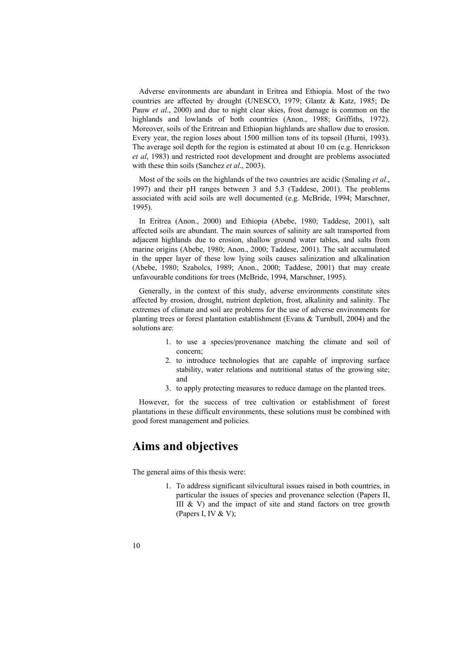Adverse environments are abundant in Eritrea and Ethiopia. Most of the two countries are affected by drought (UNESCO, 1979; Glantz & Katz, 1985; De Pauw *et al*., 2000) and due to night clear skies, frost damage is common on the highlands and lowlands of both countries (Anon., 1988; Griffiths, 1972). Moreover, soils of the Eritrean and Ethiopian highlands are shallow due to erosion. Every year, the region loses about 1500 million tons of its topsoil (Hurni, 1993). The average soil depth for the region is estimated at about 10 cm (e.g. Henrickson *et al*, 1983) and restricted root development and drought are problems associated with these thin soils (Sanchez *et al*., 2003).

Most of the soils on the highlands of the two countries are acidic (Smaling *et al*., 1997) and their pH ranges between 3 and 5.3 (Taddese, 2001). The problems associated with acid soils are well documented (e.g. McBride, 1994; Marschner, 1995).

In Eritrea (Anon., 2000) and Ethiopia (Abebe, 1980; Taddese, 2001), salt affected soils are abundant. The main sources of salinity are salt transported from adjacent highlands due to erosion, shallow ground water tables, and salts from marine origins (Abebe, 1980; Anon., 2000; Taddese, 2001). The salt accumulated in the upper layer of these low lying soils causes salinization and alkalination (Abebe, 1980; Szabolcs, 1989; Anon., 2000; Taddese, 2001) that may create unfavourable conditions for trees (McBride, 1994, Marschner, 1995).

Generally, in the context of this study, adverse environments constitute sites affected by erosion, drought, nutrient depletion, frost, alkalinity and salinity. The extremes of climate and soil are problems for the use of adverse environments for planting trees or forest plantation establishment (Evans & Turnbull, 2004) and the solutions are:

- 1. to use a species/provenance matching the climate and soil of concern;
- 2. to introduce technologies that are capable of improving surface stability, water relations and nutritional status of the growing site; and
- 3. to apply protecting measures to reduce damage on the planted trees.

However, for the success of tree cultivation or establishment of forest plantations in these difficult environments, these solutions must be combined with good forest management and policies.

### **Aims and objectives**

The general aims of this thesis were:

1. To address significant silvicultural issues raised in both countries, in particular the issues of species and provenance selection (Papers II, III  $&$  V) and the impact of site and stand factors on tree growth (Papers I, IV & V);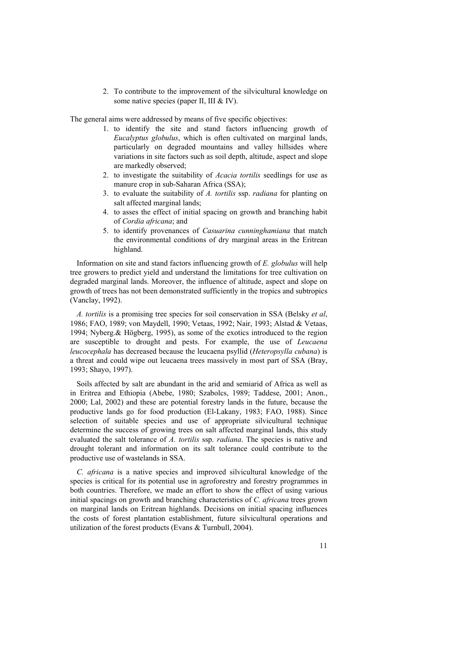2. To contribute to the improvement of the silvicultural knowledge on some native species (paper II, III & IV).

The general aims were addressed by means of five specific objectives:

- 1. to identify the site and stand factors influencing growth of *Eucalyptus globulus*, which is often cultivated on marginal lands, particularly on degraded mountains and valley hillsides where variations in site factors such as soil depth, altitude, aspect and slope are markedly observed;
- 2. to investigate the suitability of *Acacia tortilis* seedlings for use as manure crop in sub-Saharan Africa (SSA);
- 3. to evaluate the suitability of *A. tortilis* ssp. *radiana* for planting on salt affected marginal lands;
- 4. to asses the effect of initial spacing on growth and branching habit of *Cordia africana*; and
- 5. to identify provenances of *Casuarina cunninghamiana* that match the environmental conditions of dry marginal areas in the Eritrean highland.

Information on site and stand factors influencing growth of *E. globulus* will help tree growers to predict yield and understand the limitations for tree cultivation on degraded marginal lands. Moreover, the influence of altitude, aspect and slope on growth of trees has not been demonstrated sufficiently in the tropics and subtropics (Vanclay, 1992).

*A. tortilis* is a promising tree species for soil conservation in SSA (Belsky *et al*, 1986; FAO, 1989; von Maydell, 1990; Vetaas, 1992; Nair, 1993; Alstad & Vetaas, 1994; Nyberg.& Högberg, 1995), as some of the exotics introduced to the region are susceptible to drought and pests. For example, the use of *Leucaena leucocephala* has decreased because the leucaena psyllid (*Heteropsylla cubana*) is a threat and could wipe out leucaena trees massively in most part of SSA (Bray, 1993; Shayo, 1997).

Soils affected by salt are abundant in the arid and semiarid of Africa as well as in Eritrea and Ethiopia (Abebe, 1980; Szabolcs, 1989; Taddese, 2001; Anon., 2000; Lal, 2002) and these are potential forestry lands in the future, because the productive lands go for food production (El-Lakany, 1983; FAO, 1988). Since selection of suitable species and use of appropriate silvicultural technique determine the success of growing trees on salt affected marginal lands, this study evaluated the salt tolerance of *A. tortilis* ssp. *radiana*. The species is native and drought tolerant and information on its salt tolerance could contribute to the productive use of wastelands in SSA.

*C. africana* is a native species and improved silvicultural knowledge of the species is critical for its potential use in agroforestry and forestry programmes in both countries. Therefore, we made an effort to show the effect of using various initial spacings on growth and branching characteristics of *C. africana* trees grown on marginal lands on Eritrean highlands. Decisions on initial spacing influences the costs of forest plantation establishment, future silvicultural operations and utilization of the forest products (Evans & Turnbull, 2004).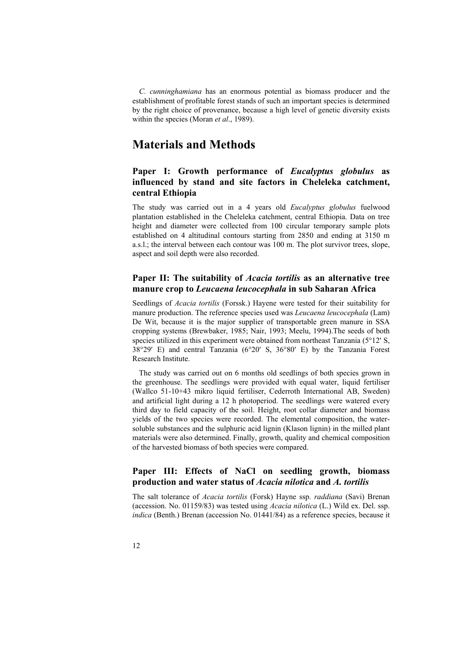*C. cunninghamiana* has an enormous potential as biomass producer and the establishment of profitable forest stands of such an important species is determined by the right choice of provenance, because a high level of genetic diversity exists within the species (Moran *et al*., 1989).

### **Materials and Methods**

### **Paper I: Growth performance of** *Eucalyptus globulus* **as influenced by stand and site factors in Cheleleka catchment, central Ethiopia**

The study was carried out in a 4 years old *Eucalyptus globulus* fuelwood plantation established in the Cheleleka catchment, central Ethiopia. Data on tree height and diameter were collected from 100 circular temporary sample plots established on 4 altitudinal contours starting from 2850 and ending at 3150 m a.s.l.; the interval between each contour was 100 m. The plot survivor trees, slope, aspect and soil depth were also recorded.

### **Paper II: The suitability of** *Acacia tortilis* **as an alternative tree manure crop to** *Leucaena leucocephala* **in sub Saharan Africa**

Seedlings of *Acacia tortilis* (Forssk.) Hayene were tested for their suitability for manure production. The reference species used was *Leucaena leucocephala* (Lam) De Wit, because it is the major supplier of transportable green manure in SSA cropping systems (Brewbaker, 1985; Nair, 1993; Meelu, 1994).The seeds of both species utilized in this experiment were obtained from northeast Tanzania (5°12′ S, 38°29′ E) and central Tanzania (6°20′ S, 36°80′ E) by the Tanzania Forest Research Institute.

The study was carried out on 6 months old seedlings of both species grown in the greenhouse. The seedlings were provided with equal water, liquid fertiliser (Wallco 51-10+43 mikro liquid fertiliser, Cederroth International AB, Sweden) and artificial light during a 12 h photoperiod. The seedlings were watered every third day to field capacity of the soil. Height, root collar diameter and biomass yields of the two species were recorded. The elemental composition, the watersoluble substances and the sulphuric acid lignin (Klason lignin) in the milled plant materials were also determined. Finally, growth, quality and chemical composition of the harvested biomass of both species were compared.

### **Paper III: Effects of NaCl on seedling growth, biomass production and water status of** *Acacia nilotica* **and** *A. tortilis*

The salt tolerance of *Acacia tortilis* (Forsk) Hayne ssp. *raddiana* (Savi) Brenan (accession. No. 01159/83) was tested using *Acacia nilotica* (L.) Wild ex. Del. ssp. *indica* (Benth.) Brenan (accession No. 01441/84) as a reference species, because it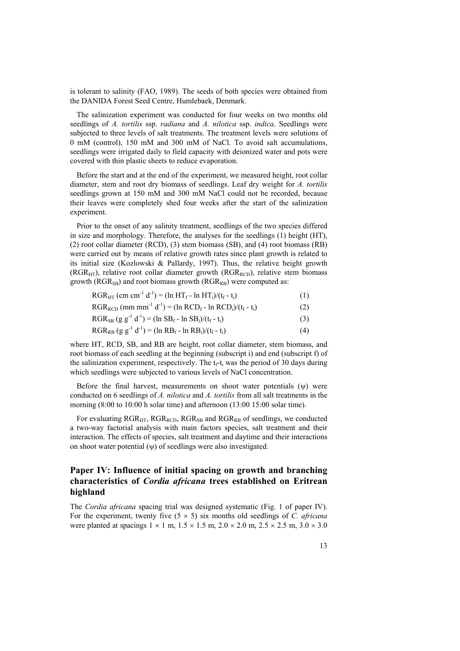is tolerant to salinity (FAO, 1989). The seeds of both species were obtained from the DANIDA Forest Seed Centre, Humlebaek, Denmark.

The salinization experiment was conducted for four weeks on two months old seedlings of *A. tortilis* ssp. *radiana* and *A. nilotica* ssp. *indica*. Seedlings were subjected to three levels of salt treatments. The treatment levels were solutions of 0 mM (control), 150 mM and 300 mM of NaCl. To avoid salt accumulations, seedlings were irrigated daily to field capacity with deionized water and pots were covered with thin plastic sheets to reduce evaporation.

Before the start and at the end of the experiment, we measured height, root collar diameter, stem and root dry biomass of seedlings. Leaf dry weight for *A. tortilis* seedlings grown at 150 mM and 300 mM NaCl could not be recorded, because their leaves were completely shed four weeks after the start of the salinization experiment.

Prior to the onset of any salinity treatment, seedlings of the two species differed in size and morphology. Therefore, the analyses for the seedlings (1) height (HT), (2) root collar diameter (RCD), (3) stem biomass (SB), and (4) root biomass (RB) were carried out by means of relative growth rates since plant growth is related to its initial size (Kozlowski & Pallardy, 1997). Thus, the relative height growth (RGR<sub>HT</sub>), relative root collar diameter growth (RGR<sub>RCD</sub>), relative stem biomass growth ( $RGR_{SB}$ ) and root biomass growth ( $RGR_{BB}$ ) were computed as:

| $RGR_{HT}$ (cm cm <sup>-1</sup> d <sup>-1</sup> ) = (ln HT <sub>f</sub> - ln HT <sub>i</sub> )/(t <sub>f</sub> - t <sub>i</sub> ) |  |
|-----------------------------------------------------------------------------------------------------------------------------------|--|
|-----------------------------------------------------------------------------------------------------------------------------------|--|

$$
RGR_{RCD} \text{ (mm mm}^{-1} \text{ d}^{-1}) = (\ln RCD_f - \ln RCD_i) / (t_f - t_i)
$$
 (2)

$$
RGR_{SB} (g g^{-1} d^{-1}) = (\ln SB_f - \ln SB_i)/(t_f - t_i)
$$
 (3)

$$
RGR_{RB} (g g^{-1} d^{-1}) = (\ln R B_f - \ln R B_i)/(t_f - t_i)
$$
 (4)

where HT, RCD, SB, and RB are height, root collar diameter, stem biomass, and root biomass of each seedling at the beginning (subscript i) and end (subscript f) of the salinization experiment, respectively. The  $t<sub>r</sub>-t<sub>i</sub>$  was the period of 30 days during which seedlings were subjected to various levels of NaCl concentration.

Before the final harvest, measurements on shoot water potentials (ψ) were conducted on 6 seedlings of *A. nilotica* and *A. tortilis* from all salt treatments in the morning (8:00 to 10:00 h solar time) and afternoon (13:00 15:00 solar time).

For evaluating  $RGR_{\text{HT}}$ ,  $RGR_{\text{RCD}}$ ,  $RGR_{\text{SB}}$  and  $RGR_{\text{RB}}$  of seedlings, we conducted a two-way factorial analysis with main factors species, salt treatment and their interaction. The effects of species, salt treatment and daytime and their interactions on shoot water potential  $(\psi)$  of seedlings were also investigated.

### **Paper IV: Influence of initial spacing on growth and branching characteristics of** *Cordia africana* **trees established on Eritrean highland**

The *Cordia africana* spacing trial was designed systematic (Fig. 1 of paper IV). For the experiment, twenty five  $(5 \times 5)$  six months old seedlings of *C. africana* were planted at spacings  $1 \times 1$  m,  $1.5 \times 1.5$  m,  $2.0 \times 2.0$  m,  $2.5 \times 2.5$  m,  $3.0 \times 3.0$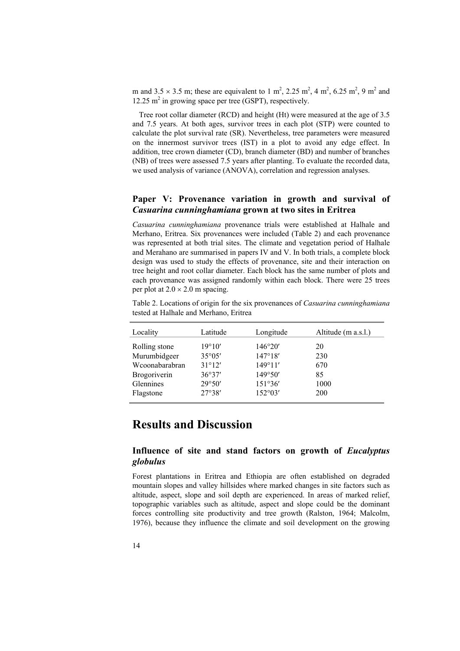m and  $3.5 \times 3.5$  m; these are equivalent to 1 m<sup>2</sup>, 2.25 m<sup>2</sup>, 4 m<sup>2</sup>, 6.25 m<sup>2</sup>, 9 m<sup>2</sup> and 12.25 m<sup>2</sup> in growing space per tree (GSPT), respectively.

Tree root collar diameter (RCD) and height (Ht) were measured at the age of 3.5 and 7.5 years. At both ages, survivor trees in each plot (STP) were counted to calculate the plot survival rate (SR). Nevertheless, tree parameters were measured on the innermost survivor trees (IST) in a plot to avoid any edge effect. In addition, tree crown diameter (CD), branch diameter (BD) and number of branches (NB) of trees were assessed 7.5 years after planting. To evaluate the recorded data, we used analysis of variance (ANOVA), correlation and regression analyses.

### **Paper V: Provenance variation in growth and survival of**  *Casuarina cunninghamiana* **grown at two sites in Eritrea**

*Casuarina cunninghamiana* provenance trials were established at Halhale and Merhano, Eritrea. Six provenances were included (Table 2) and each provenance was represented at both trial sites. The climate and vegetation period of Halhale and Merahano are summarised in papers IV and V. In both trials, a complete block design was used to study the effects of provenance, site and their interaction on tree height and root collar diameter. Each block has the same number of plots and each provenance was assigned randomly within each block. There were 25 trees per plot at  $2.0 \times 2.0$  m spacing.

Table 2. Locations of origin for the six provenances of *Casuarina cunninghamiana* tested at Halhale and Merhano, Eritrea

| Locality            | Latitude        | Longitude        | Altitude (m a.s.l.) |
|---------------------|-----------------|------------------|---------------------|
| Rolling stone       | 19°10'          | 146°20'          | 20                  |
| Murumbidgeer        | $35^{\circ}05'$ | 147°18'          | 230                 |
| Wcoonabarabran      | 31°12'          | $149^{\circ}11'$ | 670                 |
| <b>Brogoriverin</b> | 36°37'          | 149°50'          | 85                  |
| <b>Glennines</b>    | 29°50'          | 151°36'          | 1000                |
| Flagstone           | 27°38'          | 152°03'          | 200                 |

### **Results and Discussion**

### **Influence of site and stand factors on growth of** *Eucalyptus globulus*

Forest plantations in Eritrea and Ethiopia are often established on degraded mountain slopes and valley hillsides where marked changes in site factors such as altitude, aspect, slope and soil depth are experienced. In areas of marked relief, topographic variables such as altitude, aspect and slope could be the dominant forces controlling site productivity and tree growth (Ralston, 1964; Malcolm, 1976), because they influence the climate and soil development on the growing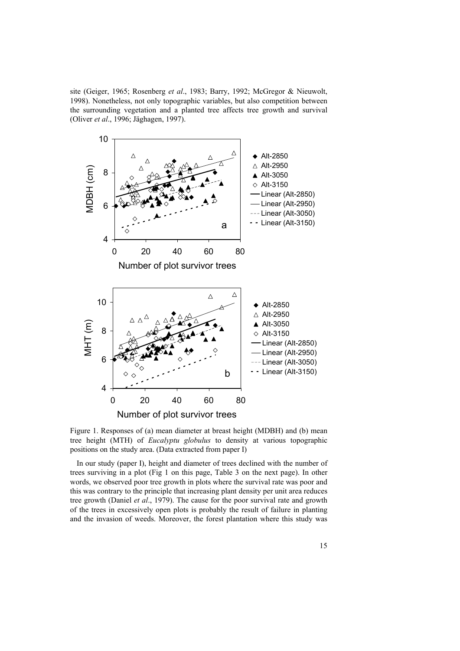site (Geiger, 1965; Rosenberg *et al*., 1983; Barry, 1992; McGregor & Nieuwolt, 1998). Nonetheless, not only topographic variables, but also competition between the surrounding vegetation and a planted tree affects tree growth and survival (Oliver *et al*., 1996; Jäghagen, 1997).



Figure 1. Responses of (a) mean diameter at breast height (MDBH) and (b) mean tree height (MTH) of *Eucalyptu globulus* to density at various topographic positions on the study area. (Data extracted from paper I)

In our study (paper I), height and diameter of trees declined with the number of trees surviving in a plot (Fig 1 on this page, Table 3 on the next page). In other words, we observed poor tree growth in plots where the survival rate was poor and this was contrary to the principle that increasing plant density per unit area reduces tree growth (Daniel *et al*., 1979). The cause for the poor survival rate and growth of the trees in excessively open plots is probably the result of failure in planting and the invasion of weeds. Moreover, the forest plantation where this study was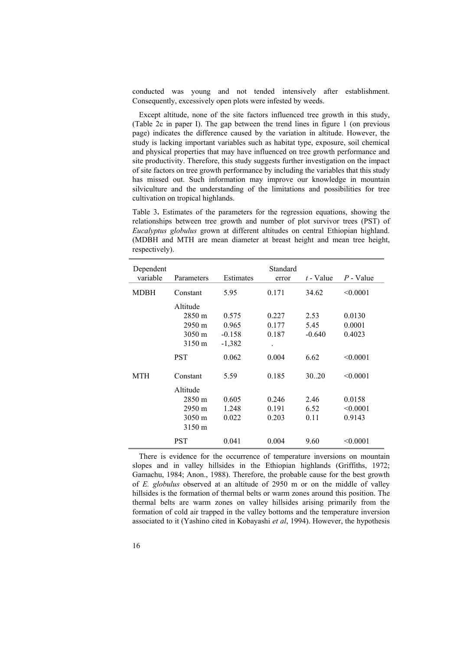conducted was young and not tended intensively after establishment. Consequently, excessively open plots were infested by weeds.

Except altitude, none of the site factors influenced tree growth in this study, (Table 2c in paper I). The gap between the trend lines in figure 1 (on previous page) indicates the difference caused by the variation in altitude. However, the study is lacking important variables such as habitat type, exposure, soil chemical and physical properties that may have influenced on tree growth performance and site productivity. Therefore, this study suggests further investigation on the impact of site factors on tree growth performance by including the variables that this study has missed out. Such information may improve our knowledge in mountain silviculture and the understanding of the limitations and possibilities for tree cultivation on tropical highlands.

Table 3**.** Estimates of the parameters for the regression equations, showing the relationships between tree growth and number of plot survivor trees (PST) of *Eucalyptus globulus* grown at different altitudes on central Ethiopian highland. (MDBH and MTH are mean diameter at breast height and mean tree height, respectively).

| Dependent<br>variable | Parameters       | Estimates | Standard<br>error | $t$ - Value | $P$ - Value |
|-----------------------|------------------|-----------|-------------------|-------------|-------------|
| MDBH                  | Constant         | 5.95      | 0.171             | 34.62       | < 0.0001    |
|                       | Altitude         |           |                   |             |             |
|                       | $2850 \text{ m}$ | 0.575     | 0.227             | 2.53        | 0.0130      |
|                       | $2950 \text{ m}$ | 0.965     | 0.177             | 5.45        | 0.0001      |
|                       | 3050 m           | $-0.158$  | 0.187             | $-0.640$    | 0.4023      |
|                       | 3150 m           | $-1,382$  |                   |             |             |
|                       | <b>PST</b>       | 0.062     | 0.004             | 6.62        | < 0.0001    |
| MTH                   | Constant         | 5.59      | 0.185             | 30.20       | < 0.0001    |
|                       | Altitude         |           |                   |             |             |
|                       | 2850 m           | 0.605     | 0.246             | 2.46        | 0.0158      |
|                       | 2950 m           | 1.248     | 0.191             | 6.52        | < 0.0001    |
|                       | 3050 m           | 0.022     | 0.203             | 0.11        | 0.9143      |
|                       | 3150 m           |           |                   |             |             |
|                       | PST              | 0.041     | 0.004             | 9.60        | < 0.0001    |

There is evidence for the occurrence of temperature inversions on mountain slopes and in valley hillsides in the Ethiopian highlands (Griffiths, 1972; Gamachu, 1984; Anon., 1988). Therefore, the probable cause for the best growth of *E. globulus* observed at an altitude of 2950 m or on the middle of valley hillsides is the formation of thermal belts or warm zones around this position. The thermal belts are warm zones on valley hillsides arising primarily from the formation of cold air trapped in the valley bottoms and the temperature inversion associated to it (Yashino cited in Kobayashi *et al*, 1994). However, the hypothesis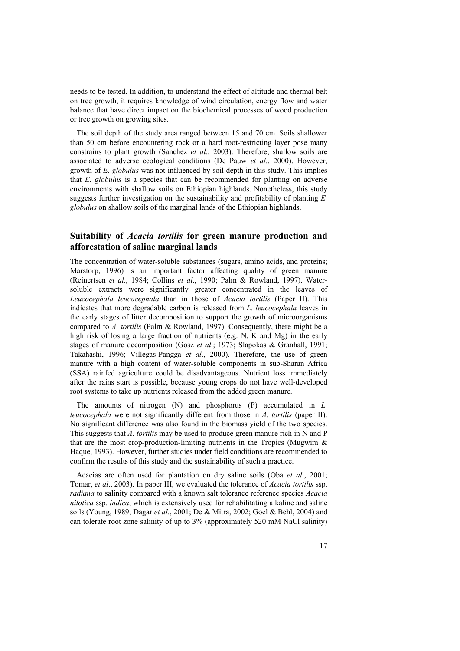needs to be tested. In addition, to understand the effect of altitude and thermal belt on tree growth, it requires knowledge of wind circulation, energy flow and water balance that have direct impact on the biochemical processes of wood production or tree growth on growing sites.

The soil depth of the study area ranged between 15 and 70 cm. Soils shallower than 50 cm before encountering rock or a hard root-restricting layer pose many constrains to plant growth (Sanchez *et al*., 2003). Therefore, shallow soils are associated to adverse ecological conditions (De Pauw *et al*., 2000). However, growth of *E. globulus* was not influenced by soil depth in this study. This implies that *E. globulus* is a species that can be recommended for planting on adverse environments with shallow soils on Ethiopian highlands. Nonetheless, this study suggests further investigation on the sustainability and profitability of planting *E. globulus* on shallow soils of the marginal lands of the Ethiopian highlands.

### **Suitability of** *Acacia tortilis* **for green manure production and afforestation of saline marginal lands**

The concentration of water-soluble substances (sugars, amino acids, and proteins; Marstorp, 1996) is an important factor affecting quality of green manure (Reinertsen *et al*., 1984; Collins *et al*., 1990; Palm & Rowland, 1997). Watersoluble extracts were significantly greater concentrated in the leaves of *Leucocephala leucocephala* than in those of *Acacia tortilis* (Paper II). This indicates that more degradable carbon is released from *L. leucocephala* leaves in the early stages of litter decomposition to support the growth of microorganisms compared to *A. tortilis* (Palm & Rowland, 1997). Consequently, there might be a high risk of losing a large fraction of nutrients (e.g. N, K and Mg) in the early stages of manure decomposition (Gosz *et al*.; 1973; Slapokas & Granhall, 1991; Takahashi, 1996; Villegas-Pangga *et al*., 2000). Therefore, the use of green manure with a high content of water-soluble components in sub-Sharan Africa (SSA) rainfed agriculture could be disadvantageous. Nutrient loss immediately after the rains start is possible, because young crops do not have well-developed root systems to take up nutrients released from the added green manure.

The amounts of nitrogen (N) and phosphorus (P) accumulated in *L. leucocephala* were not significantly different from those in *A. tortilis* (paper II). No significant difference was also found in the biomass yield of the two species. This suggests that *A. tortilis* may be used to produce green manure rich in N and P that are the most crop-production-limiting nutrients in the Tropics (Mugwira  $\&$ Haque, 1993). However, further studies under field conditions are recommended to confirm the results of this study and the sustainability of such a practice.

Acacias are often used for plantation on dry saline soils (Oba *et al.*, 2001; Tomar, *et al*., 2003). In paper III, we evaluated the tolerance of *Acacia tortilis* ssp. *radiana* to salinity compared with a known salt tolerance reference species *Acacia nilotica* ssp. *indica*, which is extensively used for rehabilitating alkaline and saline soils (Young, 1989; Dagar *et al*., 2001; De & Mitra, 2002; Goel & Behl, 2004) and can tolerate root zone salinity of up to 3% (approximately 520 mM NaCl salinity)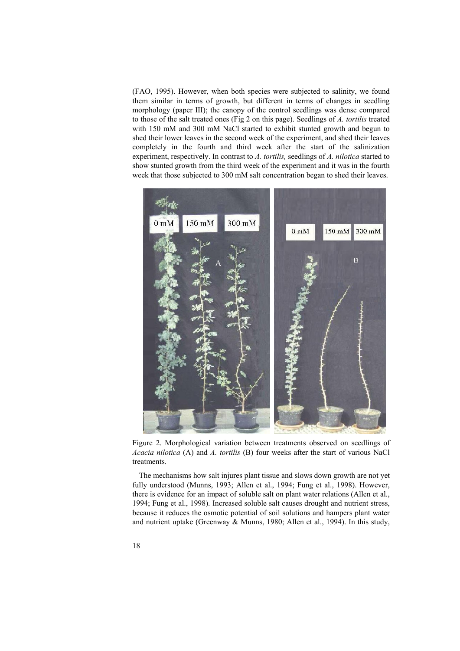(FAO, 1995). However, when both species were subjected to salinity, we found them similar in terms of growth, but different in terms of changes in seedling morphology (paper III); the canopy of the control seedlings was dense compared to those of the salt treated ones (Fig 2 on this page). Seedlings of *A. tortilis* treated with 150 mM and 300 mM NaCl started to exhibit stunted growth and begun to shed their lower leaves in the second week of the experiment, and shed their leaves completely in the fourth and third week after the start of the salinization experiment, respectively. In contrast to *A. tortilis,* seedlings of *A. nilotica* started to show stunted growth from the third week of the experiment and it was in the fourth week that those subjected to 300 mM salt concentration began to shed their leaves.



Figure 2. Morphological variation between treatments observed on seedlings of *Acacia nilotica* (A) and *A. tortilis* (B) four weeks after the start of various NaCl treatments.

The mechanisms how salt injures plant tissue and slows down growth are not yet fully understood (Munns, 1993; Allen et al., 1994; Fung et al., 1998). However, there is evidence for an impact of soluble salt on plant water relations (Allen et al., 1994; Fung et al., 1998). Increased soluble salt causes drought and nutrient stress, because it reduces the osmotic potential of soil solutions and hampers plant water and nutrient uptake (Greenway & Munns, 1980; Allen et al., 1994). In this study,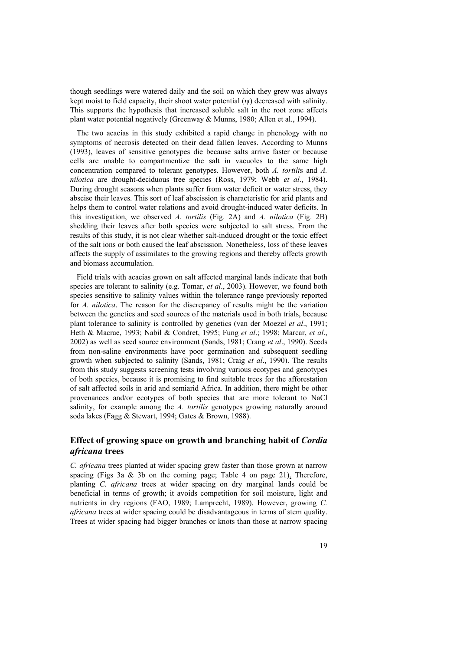though seedlings were watered daily and the soil on which they grew was always kept moist to field capacity, their shoot water potential  $(\psi)$  decreased with salinity. This supports the hypothesis that increased soluble salt in the root zone affects plant water potential negatively (Greenway & Munns, 1980; Allen et al., 1994).

The two acacias in this study exhibited a rapid change in phenology with no symptoms of necrosis detected on their dead fallen leaves. According to Munns (1993), leaves of sensitive genotypes die because salts arrive faster or because cells are unable to compartmentize the salt in vacuoles to the same high concentration compared to tolerant genotypes. However, both *A. tortili*s and *A. nilotica* are drought-deciduous tree species (Ross, 1979; Webb *et al*., 1984). During drought seasons when plants suffer from water deficit or water stress, they abscise their leaves. This sort of leaf abscission is characteristic for arid plants and helps them to control water relations and avoid drought-induced water deficits. In this investigation, we observed *A. tortilis* (Fig. 2A) and *A. nilotica* (Fig. 2B) shedding their leaves after both species were subjected to salt stress. From the results of this study, it is not clear whether salt-induced drought or the toxic effect of the salt ions or both caused the leaf abscission. Nonetheless, loss of these leaves affects the supply of assimilates to the growing regions and thereby affects growth and biomass accumulation.

Field trials with acacias grown on salt affected marginal lands indicate that both species are tolerant to salinity (e.g. Tomar, *et al*., 2003). However, we found both species sensitive to salinity values within the tolerance range previously reported for *A. nilotica*. The reason for the discrepancy of results might be the variation between the genetics and seed sources of the materials used in both trials, because plant tolerance to salinity is controlled by genetics (van der Moezel *et al*., 1991; Heth & Macrae, 1993; Nabil & Condret, 1995; Fung *et al*.; 1998; Marcar, *et al*., 2002) as well as seed source environment (Sands, 1981; Crang *et al*., 1990). Seeds from non-saline environments have poor germination and subsequent seedling growth when subjected to salinity (Sands, 1981; Craig *et al*., 1990). The results from this study suggests screening tests involving various ecotypes and genotypes of both species, because it is promising to find suitable trees for the afforestation of salt affected soils in arid and semiarid Africa. In addition, there might be other provenances and/or ecotypes of both species that are more tolerant to NaCl salinity, for example among the *A. tortilis* genotypes growing naturally around soda lakes (Fagg & Stewart, 1994; Gates & Brown, 1988).

#### **Effect of growing space on growth and branching habit of** *Cordia africana* **trees**

*C. africana* trees planted at wider spacing grew faster than those grown at narrow spacing (Figs 3a  $\&$  3b on the coming page; Table 4 on page 21). Therefore, planting *C. africana* trees at wider spacing on dry marginal lands could be beneficial in terms of growth; it avoids competition for soil moisture, light and nutrients in dry regions (FAO, 1989; Lamprecht, 1989). However, growing *C. africana* trees at wider spacing could be disadvantageous in terms of stem quality. Trees at wider spacing had bigger branches or knots than those at narrow spacing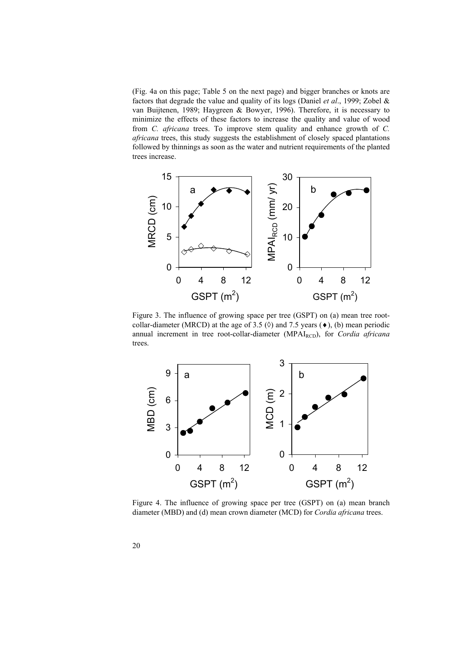(Fig. 4a on this page; Table 5 on the next page) and bigger branches or knots are factors that degrade the value and quality of its logs (Daniel *et al*., 1999; Zobel & van Buijtenen, 1989; Haygreen & Bowyer, 1996). Therefore, it is necessary to minimize the effects of these factors to increase the quality and value of wood from *C. africana* trees. To improve stem quality and enhance growth of *C. africana* trees, this study suggests the establishment of closely spaced plantations followed by thinnings as soon as the water and nutrient requirements of the planted trees increase.



Figure 3. The influence of growing space per tree (GSPT) on (a) mean tree rootcollar-diameter (MRCD) at the age of 3.5  $(\Diamond)$  and 7.5 years  $(\diamond)$ , (b) mean periodic annual increment in tree root-collar-diameter (MPAI<sub>RCD</sub>), for *Cordia africana* trees.



Figure 4. The influence of growing space per tree (GSPT) on (a) mean branch diameter (MBD) and (d) mean crown diameter (MCD) for *Cordia africana* trees.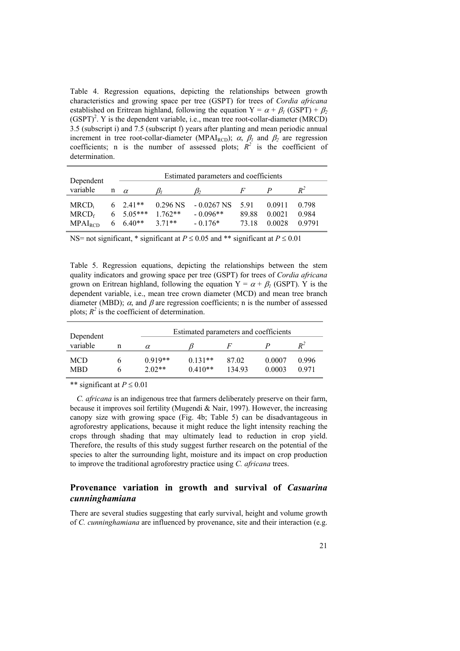Table 4. Regression equations, depicting the relationships between growth characteristics and growing space per tree (GSPT) for trees of *Cordia africana* established on Eritrean highland, following the equation  $Y = \alpha + \beta_1 (GSPT) + \beta_2$  $(GSPT)^2$ . Y is the dependent variable, i.e., mean tree root-collar-diameter (MRCD) 3.5 (subscript i) and 7.5 (subscript f) years after planting and mean periodic annual increment in tree root-collar-diameter (MPAI<sub>RCD</sub>);  $\alpha$ ,  $\beta$ <sup>1</sup> and  $\beta$ <sup>2</sup> are regression coefficients; n is the number of assessed plots;  $R^2$  is the coefficient of determination.

| Dependent                                            |                                                          |                                    | Estimated parameters and coefficients   |                       |                                  |                          |
|------------------------------------------------------|----------------------------------------------------------|------------------------------------|-----------------------------------------|-----------------------|----------------------------------|--------------------------|
| variable<br>n                                        | $\alpha$                                                 |                                    |                                         |                       |                                  | $R^2$                    |
| $MRCD_i$<br>MRCD <sub>f</sub><br>MPAI <sub>RCD</sub> | $6 \quad 2.41**$<br>$6 \quad 5.05***$<br>$6\quad 6.40**$ | $0.296$ NS<br>$1.762**$<br>$371**$ | $-0.0267$ NS<br>$-0.096**$<br>$-0.176*$ | 591<br>89.88<br>73.18 | 0 0 9 1 1<br>0 0 0 2 1<br>0.0028 | 0.798<br>0.984<br>0.9791 |

NS= not significant, \* significant at  $P \le 0.05$  and \*\* significant at  $P \le 0.01$ 

Table 5. Regression equations, depicting the relationships between the stem quality indicators and growing space per tree (GSPT) for trees of *Cordia africana* grown on Eritrean highland, following the equation  $Y = \alpha + \beta$ <sup>1</sup> (GSPT). Y is the dependent variable, i.e., mean tree crown diameter (MCD) and mean tree branch diameter (MBD);  $\alpha$ , and  $\beta$  are regression coefficients; n is the number of assessed plots;  $R^2$  is the coefficient of determination.

| Dependent                |   |                       | Estimated parameters and coefficients |                 |                  |                |  |  |
|--------------------------|---|-----------------------|---------------------------------------|-----------------|------------------|----------------|--|--|
| variable                 | n | $\alpha$              |                                       |                 |                  | $R^2$          |  |  |
| <b>MCD</b><br><b>MBD</b> |   | $0.919**$<br>$2.02**$ | $0.131**$<br>$0.410**$                | 87.02<br>134.93 | 0.0007<br>0.0003 | 0.996<br>0.971 |  |  |

\*\* significant at  $P \le 0.01$ 

*C. africana* is an indigenous tree that farmers deliberately preserve on their farm, because it improves soil fertility (Mugendi & Nair, 1997). However, the increasing canopy size with growing space (Fig. 4b; Table 5) can be disadvantageous in agroforestry applications, because it might reduce the light intensity reaching the crops through shading that may ultimately lead to reduction in crop yield. Therefore, the results of this study suggest further research on the potential of the species to alter the surrounding light, moisture and its impact on crop production to improve the traditional agroforestry practice using *C. africana* trees.

#### **Provenance variation in growth and survival of** *Casuarina cunninghamiana*

There are several studies suggesting that early survival, height and volume growth of *C. cunninghamiana* are influenced by provenance, site and their interaction (e.g.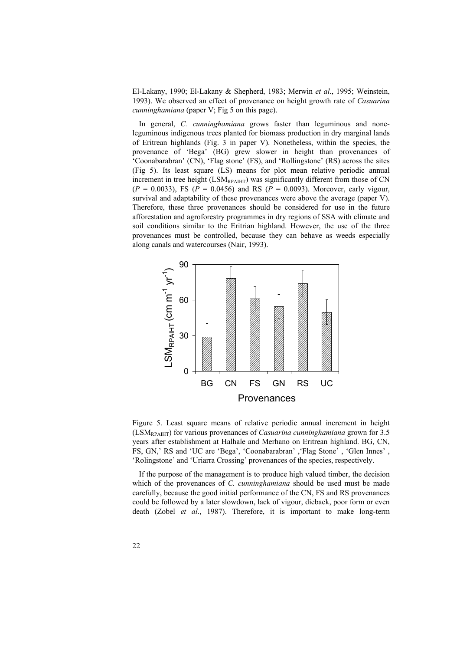El-Lakany, 1990; El-Lakany & Shepherd, 1983; Merwin *et al*., 1995; Weinstein, 1993). We observed an effect of provenance on height growth rate of *Casuarina cunninghamiana* (paper V; Fig 5 on this page).

In general, *C. cunninghamiana* grows faster than leguminous and noneleguminous indigenous trees planted for biomass production in dry marginal lands of Eritrean highlands (Fig. 3 in paper V). Nonetheless, within the species, the provenance of 'Bega' (BG) grew slower in height than provenances of 'Coonabarabran' (CN), 'Flag stone' (FS), and 'Rollingstone' (RS) across the sites (Fig 5). Its least square (LS) means for plot mean relative periodic annual increment in tree height (LSM<sub>RPAIHT</sub>) was significantly different from those of CN  $(P = 0.0033)$ , FS ( $P = 0.0456$ ) and RS ( $P = 0.0093$ ). Moreover, early vigour, survival and adaptability of these provenances were above the average (paper V). Therefore, these three provenances should be considered for use in the future afforestation and agroforestry programmes in dry regions of SSA with climate and soil conditions similar to the Eritrian highland. However, the use of the three provenances must be controlled, because they can behave as weeds especially along canals and watercourses (Nair, 1993).



Figure 5. Least square means of relative periodic annual increment in height (LSMRPAIHT) for various provenances of *Casuarina cunninghamiana* grown for 3.5 years after establishment at Halhale and Merhano on Eritrean highland. BG, CN, FS, GN,' RS and 'UC are 'Bega', 'Coonabarabran' ,'Flag Stone' , 'Glen Innes' , 'Rolingstone' and 'Uriarra Crossing' provenances of the species, respectively.

If the purpose of the management is to produce high valued timber, the decision which of the provenances of *C. cunninghamiana* should be used must be made carefully, because the good initial performance of the CN, FS and RS provenances could be followed by a later slowdown, lack of vigour, dieback, poor form or even death (Zobel *et al*., 1987). Therefore, it is important to make long-term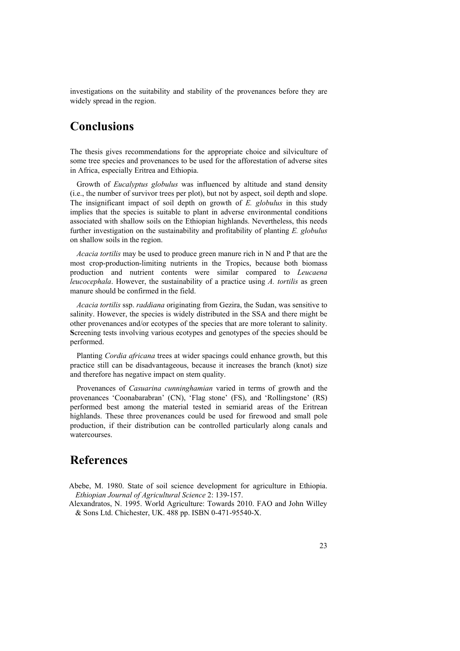investigations on the suitability and stability of the provenances before they are widely spread in the region.

# **Conclusions**

The thesis gives recommendations for the appropriate choice and silviculture of some tree species and provenances to be used for the afforestation of adverse sites in Africa, especially Eritrea and Ethiopia.

Growth of *Eucalyptus globulus* was influenced by altitude and stand density (i.e., the number of survivor trees per plot), but not by aspect, soil depth and slope. The insignificant impact of soil depth on growth of *E. globulus* in this study implies that the species is suitable to plant in adverse environmental conditions associated with shallow soils on the Ethiopian highlands. Nevertheless, this needs further investigation on the sustainability and profitability of planting *E. globulus* on shallow soils in the region.

*Acacia tortilis* may be used to produce green manure rich in N and P that are the most crop-production-limiting nutrients in the Tropics, because both biomass production and nutrient contents were similar compared to *Leucaena leucocephala*. However, the sustainability of a practice using *A. tortilis* as green manure should be confirmed in the field.

*Acacia tortilis* ssp. *raddiana* originating from Gezira, the Sudan, was sensitive to salinity. However, the species is widely distributed in the SSA and there might be other provenances and/or ecotypes of the species that are more tolerant to salinity. **S**creening tests involving various ecotypes and genotypes of the species should be performed.

Planting *Cordia africana* trees at wider spacings could enhance growth, but this practice still can be disadvantageous, because it increases the branch (knot) size and therefore has negative impact on stem quality.

Provenances of *Casuarina cunninghamian* varied in terms of growth and the provenances 'Coonabarabran' (CN), 'Flag stone' (FS), and 'Rollingstone' (RS) performed best among the material tested in semiarid areas of the Eritrean highlands. These three provenances could be used for firewood and small pole production, if their distribution can be controlled particularly along canals and watercourses.

## **References**

- Abebe, M. 1980. State of soil science development for agriculture in Ethiopia. *Ethiopian Journal of Agricultural Science* 2: 139-157.
- Alexandratos, N. 1995. World Agriculture: Towards 2010. FAO and John Willey & Sons Ltd. Chichester, UK. 488 pp. ISBN 0-471-95540-X.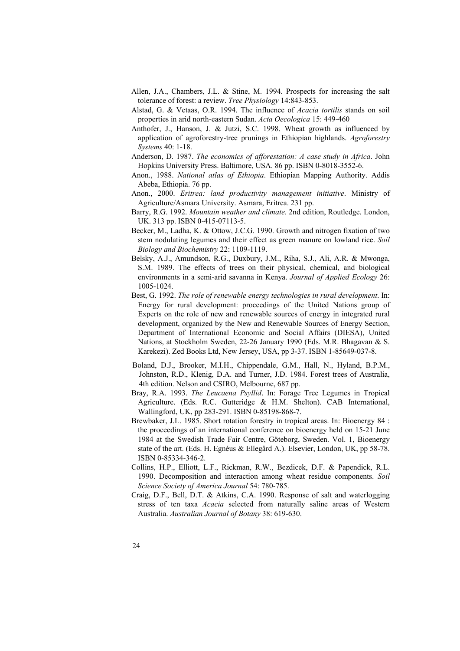- Allen, J.A., Chambers, J.L. & Stine, M. 1994. Prospects for increasing the salt tolerance of forest: a review. *Tree Physiology* 14:843-853.
- Alstad, G. & Vetaas, O.R. 1994. The influence of *Acacia tortilis* stands on soil properties in arid north-eastern Sudan. *Acta Oecologica* 15: 449-460
- Anthofer, J., Hanson, J. & Jutzi, S.C. 1998. Wheat growth as influenced by application of agroforestry-tree prunings in Ethiopian highlands. *Agroforestry Systems* 40: 1-18.
- Anderson, D. 1987. *The economics of afforestation: A case study in Africa*. John Hopkins University Press. Baltimore, USA. 86 pp. ISBN 0-8018-3552-6.
- Anon., 1988. *National atlas of Ethiopia*. Ethiopian Mapping Authority. Addis Abeba, Ethiopia. 76 pp.
- Anon., 2000. *Eritrea: land productivity management initiative*. Ministry of Agriculture/Asmara University. Asmara, Eritrea. 231 pp.
- Barry, R.G. 1992. *Mountain weather and climate.* 2nd edition, Routledge. London, UK. 313 pp. ISBN 0-415-07113-5.
- Becker, M., Ladha, K. & Ottow, J.C.G. 1990. Growth and nitrogen fixation of two stem nodulating legumes and their effect as green manure on lowland rice. *Soil Biology and Biochemistry* 22: 1109-1119.
- Belsky, A.J., Amundson, R.G., Duxbury, J.M., Riha, S.J., Ali, A.R. & Mwonga, S.M. 1989. The effects of trees on their physical, chemical, and biological environments in a semi-arid savanna in Kenya. *Journal of Applied Ecology* 26: 1005-1024.
- Best, G. 1992. *The role of renewable energy technologies in rural development*. In: Energy for rural development: proceedings of the United Nations group of Experts on the role of new and renewable sources of energy in integrated rural development, organized by the New and Renewable Sources of Energy Section, Department of International Economic and Social Affairs (DIESA), United Nations, at Stockholm Sweden, 22-26 January 1990 (Eds. M.R. Bhagavan & S. Karekezi). Zed Books Ltd, New Jersey, USA, pp 3-37. ISBN 1-85649-037-8.
- Boland, D.J., Brooker, M.I.H., Chippendale, G.M., Hall, N., Hyland, B.P.M., Johnston, R.D., Klenig, D.A. and Turner, J.D. 1984. Forest trees of Australia, 4th edition. Nelson and CSIRO, Melbourne, 687 pp.
- Bray, R.A. 1993. *The Leucaena Psyllid*. In: Forage Tree Legumes in Tropical Agriculture. (Eds. R.C. Gutteridge & H.M. Shelton). CAB International, Wallingford, UK, pp 283-291. ISBN 0-85198-868-7.
- Brewbaker, J.L. 1985. Short rotation forestry in tropical areas. In: Bioenergy 84 : the proceedings of an international conference on bioenergy held on 15-21 June 1984 at the Swedish Trade Fair Centre, Göteborg, Sweden. Vol. 1, Bioenergy state of the art. (Eds. H. Egnéus & Ellegård A.). Elsevier, London, UK, pp 58-78. ISBN 0-85334-346-2.
- Collins, H.P., Elliott, L.F., Rickman, R.W., Bezdicek, D.F. & Papendick, R.L. 1990. Decomposition and interaction among wheat residue components. *Soil Science Society of America Journal* 54: 780-785.
- Craig, D.F., Bell, D.T. & Atkins, C.A. 1990. Response of salt and waterlogging stress of ten taxa *Acacia* selected from naturally saline areas of Western Australia. *Australian Journal of Botany* 38: 619-630.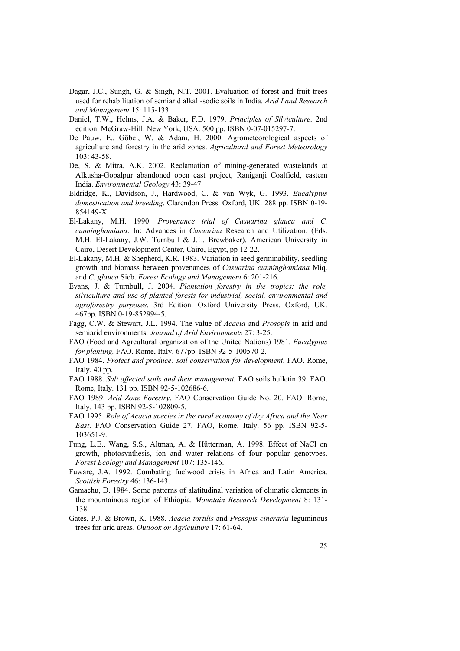- Dagar, J.C., Sungh, G. & Singh, N.T. 2001. Evaluation of forest and fruit trees used for rehabilitation of semiarid alkali-sodic soils in India. *Arid Land Research and Management* 15: 115-133.
- Daniel, T.W., Helms, J.A. & Baker, F.D. 1979. *Principles of Silviculture*. 2nd edition. McGraw-Hill. New York, USA. 500 pp. ISBN 0-07-015297-7.
- De Pauw, E., Göbel, W. & Adam, H. 2000. Agrometeorological aspects of agriculture and forestry in the arid zones. *Agricultural and Forest Meteorology* 103: 43-58.
- De, S. & Mitra, A.K. 2002. Reclamation of mining-generated wastelands at Alkusha-Gopalpur abandoned open cast project, Raniganji Coalfield, eastern India. *Environmental Geology* 43: 39-47.
- Eldridge, K., Davidson, J., Hardwood, C. & van Wyk, G. 1993. *Eucalyptus domestication and breeding*. Clarendon Press. Oxford, UK. 288 pp. ISBN 0-19- 854149-X.
- El-Lakany, M.H. 1990. *Provenance trial of Casuarina glauca and C. cunninghamiana*. In: Advances in *Casuarina* Research and Utilization. (Eds. M.H. El-Lakany, J.W. Turnbull & J.L. Brewbaker). American University in Cairo, Desert Development Center, Cairo, Egypt, pp 12-22.
- El-Lakany, M.H. & Shepherd, K.R. 1983. Variation in seed germinability, seedling growth and biomass between provenances of *Casuarina cunninghamiana* Miq. and *C. glauca* Sieb. *Forest Ecology and Management* 6: 201-216.
- Evans, J. & Turnbull, J. 2004. *Plantation forestry in the tropics: the role, silviculture and use of planted forests for industrial, social, environmental and agroforestry purposes*. 3rd Edition. Oxford University Press. Oxford, UK. 467pp. ISBN 0-19-852994-5.
- Fagg, C.W. & Stewart, J.L. 1994. The value of *Acacia* and *Prosopis* in arid and semiarid environments. *Journal of Arid Environments* 27: 3-25.
- FAO (Food and Agrcultural organization of the United Nations) 1981. *Eucalyptus for planting.* FAO. Rome, Italy. 677pp. ISBN 92-5-100570-2.
- FAO 1984. *Protect and produce: soil conservation for development*. FAO. Rome, Italy. 40 pp.
- FAO 1988. *Salt affected soils and their management.* FAO soils bulletin 39. FAO. Rome, Italy. 131 pp. ISBN 92-5-102686-6.
- FAO 1989. *Arid Zone Forestry*. FAO Conservation Guide No. 20. FAO. Rome, Italy. 143 pp. ISBN 92-5-102809-5.
- FAO 1995. *Role of Acacia species in the rural economy of dry Africa and the Near East*. FAO Conservation Guide 27. FAO, Rome, Italy. 56 pp. ISBN 92-5- 103651-9.
- Fung, L.E., Wang, S.S., Altman, A. & Hütterman, A. 1998. Effect of NaCl on growth, photosynthesis, ion and water relations of four popular genotypes. *Forest Ecology and Management* 107: 135-146.
- Fuware, J.A. 1992. Combating fuelwood crisis in Africa and Latin America. *Scottish Forestry* 46: 136-143.
- Gamachu, D. 1984. Some patterns of alatitudinal variation of climatic elements in the mountainous region of Ethiopia. *Mountain Research Development* 8: 131- 138.
- Gates, P.J. & Brown, K. 1988. *Acacia tortilis* and *Prosopis cineraria* leguminous trees for arid areas. *Outlook on Agriculture* 17: 61-64.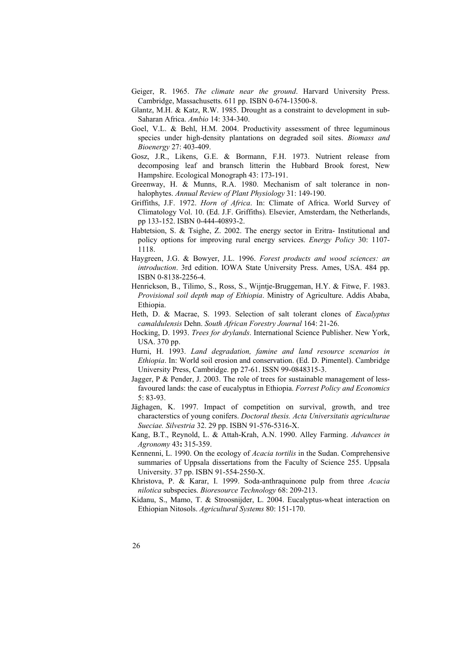- Geiger, R. 1965. *The climate near the ground*. Harvard University Press. Cambridge, Massachusetts. 611 pp. ISBN 0-674-13500-8.
- Glantz, M.H. & Katz, R.W. 1985. Drought as a constraint to development in sub-Saharan Africa. *Ambio* 14: 334-340.
- Goel, V.L. & Behl, H.M. 2004. Productivity assessment of three leguminous species under high-density plantations on degraded soil sites. *Biomass and Bioenergy* 27: 403-409.
- Gosz, J.R., Likens, G.E. & Bormann, F.H. 1973. Nutrient release from decomposing leaf and bransch litterin the Hubbard Brook forest, New Hampshire. Ecological Monograph 43: 173-191.
- Greenway, H. & Munns, R.A. 1980. Mechanism of salt tolerance in nonhalophytes. *Annual Review of Plant Physiology* 31: 149-190.
- Griffiths, J.F. 1972. *Horn of Africa*. In: Climate of Africa. World Survey of Climatology Vol. 10. (Ed. J.F. Griffiths). Elsevier, Amsterdam, the Netherlands, pp 133-152. ISBN 0-444-40893-2.
- Habtetsion, S. & Tsighe, Z. 2002. The energy sector in Eritra- Institutional and policy options for improving rural energy services. *Energy Policy* 30: 1107- 1118.
- Haygreen, J.G. & Bowyer, J.L. 1996. *Forest products and wood sciences: an introduction*. 3rd edition. IOWA State University Press. Ames, USA. 484 pp. ISBN 0-8138-2256-4.
- Henrickson, B., Tilimo, S., Ross, S., Wijntje-Bruggeman, H.Y. & Fitwe, F. 1983. *Provisional soil depth map of Ethiopia*. Ministry of Agriculture. Addis Ababa, Ethiopia.
- Heth, D. & Macrae, S. 1993. Selection of salt tolerant clones of *Eucalyptus camaldulensis* Dehn. *South African Forestry Journal* 164: 21-26.
- Hocking, D. 1993. *Trees for drylands*. International Science Publisher. New York, USA. 370 pp.
- Hurni, H. 1993. *Land degradation, famine and land resource scenarios in Ethiopia*. In: World soil erosion and conservation. (Ed. D. Pimentel). Cambridge University Press, Cambridge. pp 27-61. ISSN 99-0848315-3.
- Jagger, P & Pender, J. 2003. The role of trees for sustainable management of lessfavoured lands: the case of eucalyptus in Ethiopia. *Forrest Policy and Economics* 5: 83-93.
- Jäghagen, K. 1997. Impact of competition on survival, growth, and tree characterstics of young conifers. *Doctoral thesis. Acta Universitatis agriculturae Sueciae. Silvestria* 32. 29 pp. ISBN 91-576-5316-X.
- Kang, B.T., Reynold, L. & Attah-Krah, A.N. 1990. Alley Farming. *Advances in Agronomy* 43**:** 315-359.
- Kennenni, L. 1990. On the ecology of *Acacia tortilis* in the Sudan. Comprehensive summaries of Uppsala dissertations from the Faculty of Science 255. Uppsala University. 37 pp. ISBN 91-554-2550-X.
- Khristova, P. & Karar, I. 1999. Soda-anthraquinone pulp from three *Acacia nilotica* subspecies. *Bioresource Technology* 68: 209-213.
- Kidanu, S., Mamo, T. & Stroosnijder, L. 2004. Eucalyptus-wheat interaction on Ethiopian Nitosols. *Agricultural Systems* 80: 151-170.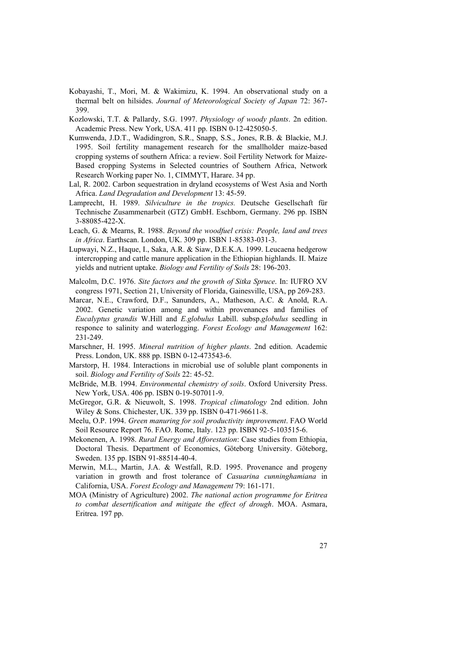- Kobayashi, T., Mori, M. & Wakimizu, K. 1994. An observational study on a thermal belt on hilsides. *Journal of Meteorological Society of Japan* 72: 367- 399.
- Kozlowski, T.T. & Pallardy, S.G. 1997. *Physiology of woody plants*. 2n edition. Academic Press. New York, USA. 411 pp. ISBN 0-12-425050-5.
- Kumwenda, J.D.T., Wadidingron, S.R., Snapp, S.S., Jones, R.B. & Blackie, M.J. 1995. Soil fertility management research for the smallholder maize-based cropping systems of southern Africa: a review. Soil Fertility Network for Maize-Based cropping Systems in Selected countries of Southern Africa, Network Research Working paper No. 1, CIMMYT, Harare. 34 pp.
- Lal, R. 2002. Carbon sequestration in dryland ecosystems of West Asia and North Africa. *Land Degradation and Development* 13: 45-59.
- Lamprecht, H. 1989. *Silviculture in the tropics.* Deutsche Gesellschaft für Technische Zusammenarbeit (GTZ) GmbH. Eschborn, Germany. 296 pp. ISBN 3-88085-422-X.
- Leach, G. & Mearns, R. 1988. *Beyond the woodfuel crisis: People, land and trees in Africa*. Earthscan. London, UK. 309 pp. ISBN 1-85383-031-3.
- Lupwayi, N.Z., Haque, I., Saka, A.R. & Siaw, D.E.K.A. 1999. Leucaena hedgerow intercropping and cattle manure application in the Ethiopian highlands. II. Maize yields and nutrient uptake. *Biology and Fertility of Soils* 28: 196-203.
- Malcolm, D.C. 1976. *Site factors and the growth of Sitka Spruce*. In: IUFRO XV congress 1971, Section 21, University of Florida, Gainesville, USA, pp 269-283.
- Marcar, N.E., Crawford, D.F., Sanunders, A., Matheson, A.C. & Anold, R.A. 2002. Genetic variation among and within provenances and families of *Eucalyptus grandis* W.Hill and *E.globulus* Labill. subsp.*globulus* seedling in responce to salinity and waterlogging. *Forest Ecology and Management* 162: 231-249.
- Marschner, H. 1995. *Mineral nutrition of higher plants*. 2nd edition. Academic Press. London, UK. 888 pp. ISBN 0-12-473543-6.
- Marstorp, H. 1984. Interactions in microbial use of soluble plant components in soil. *Biology and Fertility of Soils* 22: 45-52.
- McBride, M.B. 1994. *Environmental chemistry of soils*. Oxford University Press. New York, USA. 406 pp. ISBN 0-19-507011-9.
- McGregor, G.R. & Nieuwolt, S. 1998. *Tropical climatology* 2nd edition. John Wiley & Sons. Chichester, UK. 339 pp. ISBN 0-471-96611-8.
- Meelu, O.P. 1994. *Green manuring for soil productivity improvement*. FAO World Soil Resource Report 76. FAO. Rome, Italy. 123 pp. ISBN 92-5-103515-6.
- Mekonenen, A. 1998. *Rural Energy and Afforestation*: Case studies from Ethiopia, Doctoral Thesis. Department of Economics, Göteborg University. Göteborg, Sweden. 135 pp. ISBN 91-88514-40-4.
- Merwin, M.L., Martin, J.A. & Westfall, R.D. 1995. Provenance and progeny variation in growth and frost tolerance of *Casuarina cunninghamiana* in California, USA. *Forest Ecology and Management* 79: 161-171.
- MOA (Ministry of Agriculture) 2002. *The national action programme for Eritrea to combat desertification and mitigate the effect of drough*. MOA. Asmara, Eritrea. 197 pp.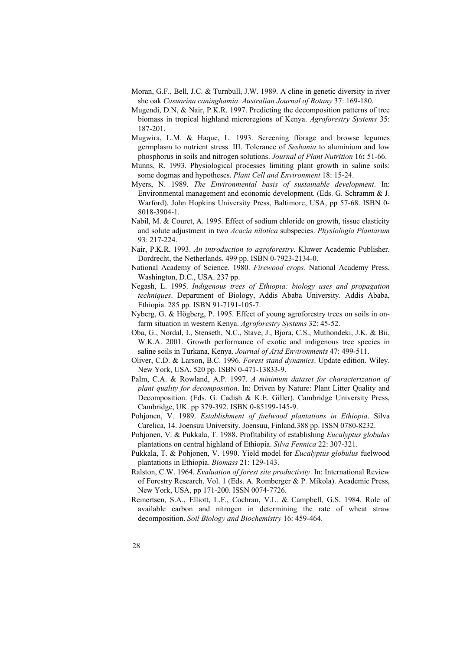- Moran, G.F., Bell, J.C. & Turnbull, J.W. 1989. A cline in genetic diversity in river she oak *Casuarina caninghamia*. *Australian Journal of Botany* 37: 169-180.
- Mugendi, D.N, & Nair, P.K.R. 1997. Predicting the decomposition patterns of tree biomass in tropical highland microregions of Kenya. *Agroforestry Systems* 35: 187-201.
- Mugwira, L.M. & Haque, L. 1993. Screening fforage and browse legumes germplasm to nutrient stress. III. Tolerance of *Sesbania* to aluminium and low phosphorus in soils and nitrogen solutions. *Journal of Plant Nutrition* 16**:** 51-66.
- Munns, R. 1993. Physiological processes limiting plant growth in saline soils: some dogmas and hypotheses. *Plant Cell and Environment* 18: 15-24.
- Myers, N. 1989. *The Environmental basis of sustainable development*. In: Environmental management and economic development. (Eds. G. Schramm & J. Warford). John Hopkins University Press, Baltimore, USA, pp 57-68. ISBN 0- 8018-3904-1.
- Nabil, M. & Couret, A. 1995. Effect of sodium chloride on growth, tissue elasticity and solute adjustment in two *Acacia nilotica* subspecies. *Physiologia Plantarum* 93: 217-224.
- Nair, P.K.R. 1993. *An introduction to agroforestry*. Kluwer Academic Publisher. Dordrecht, the Netherlands. 499 pp. ISBN 0-7923-2134-0.
- National Academy of Science. 1980. *Firewood crops*. National Academy Press, Washington, D.C., USA. 237 pp.
- Negash, L. 1995. *Indigenous trees of Ethiopia: biology uses and propagation techniques*. Department of Biology, Addis Ababa University. Addis Ababa, Ethiopia. 285 pp. ISBN 91-7191-105-7.
- Nyberg, G. & Högberg, P. 1995. Effect of young agroforestry trees on soils in onfarm situation in western Kenya. *Agroforestry Systems* 32: 45-52.
- Oba, G., Nordal, I., Stenseth, N.C., Stave, J., Bjora, C.S., Muthondeki, J.K. & Bii, W.K.A. 2001. Growth performance of exotic and indigenous tree species in saline soils in Turkana, Kenya. *Journal of Arid Environments* 47: 499-511.
- Oliver, C.D. & Larson, B.C. 1996. *Forest stand dynamics*. Update edition. Wiley. New York, USA. 520 pp. ISBN 0-471-13833-9.
- Palm, C.A. & Rowland, A.P. 1997. *A minimum dataset for characterization of plant quality for decomposition*. In: Driven by Nature: Plant Litter Quality and Decomposition. (Eds. G. Cadish & K.E. Giller). Cambridge University Press, Cambridge, UK. pp 379-392. ISBN 0-85199-145-9.
- Pohjonen, V. 1989. *Establishment of fuelwood plantations in Ethiopia*. Silva Carelica, 14. Joensuu University. Joensuu, Finland.388 pp. ISSN 0780-8232.
- Pohjonen, V. & Pukkala, T. 1988. Profitability of establishing *Eucalyptus globulus* plantations on central highland of Ethiopia. *Silva Fennica* 22: 307-321.
- Pukkala, T. & Pohjonen, V. 1990. Yield model for *Eucalyptus globulus* fuelwood plantations in Ethiopia. *Biomass* 21: 129-143.
- Ralston, C.W. 1964. *Evaluation of forest site productivity*. In: International Review of Forestry Research. Vol. 1 (Eds. A. Romberger & P. Mikola). Academic Press, New York, USA, pp 171-200. ISSN 0074-7726.
- Reinertsen, S.A., Elliott, L.F., Cochran, V.L. & Campbell, G.S. 1984. Role of available carbon and nitrogen in determining the rate of wheat straw decomposition. *Soil Biology and Biochemistry* 16: 459-464.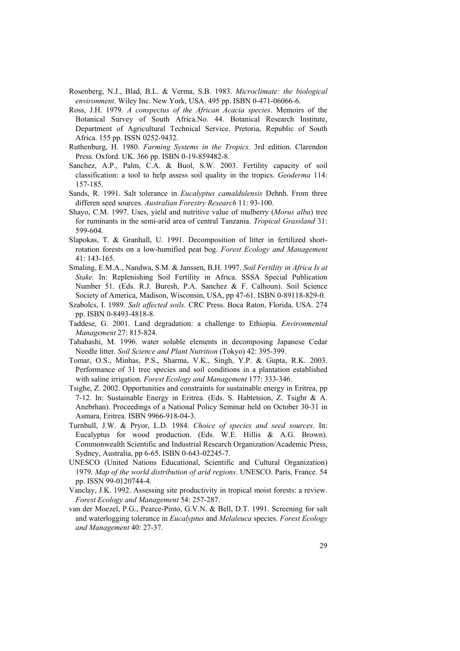- Rosenberg, N.J., Blad, B.L. & Verma, S.B. 1983. *Microclimate: the biological environment*. Wiley Inc. New York, USA. 495 pp. ISBN 0-471-06066-6.
- Ross, J.H. 1979. *A conspectus of the African Acacia species*. Memoirs of the Botanical Survey of South Africa.No. 44. Botanical Research Institute, Department of Agricultural Technical Service. Pretoria, Republic of South Africa. 155 pp. ISSN 0252-9432.
- Ruthenburg, H. 1980. *Farming Systems in the Tropics*. 3rd edition. Clarendon Press. Oxford. UK. 366 pp. ISBN 0-19-859482-8.
- Sanchez, A.P., Palm, C.A. & Buol, S.W. 2003. Fertility capacity of soil classification: a tool to help assess soil quality in the tropics. *Geoderma* 114: 157-185.
- Sands, R. 1991. Salt tolerance in *Eucalyptus camaldulensis* Dehnh. From three differen seed sources. *Australian Forestry Research* 11: 93-100.
- Shayo, C.M. 1997. Uses, yield and nutritive value of mulberry (*Morus alba*) tree for ruminants in the semi-arid area of central Tanzania. *Tropical Grassland* 31: 599-604.
- Slapokas, T. & Granhall, U. 1991. Decomposition of litter in fertilized shortrotation forests on a low-humified peat bog. *Forest Ecology and Management* 41: 143-165.
- Smaling, E.M.A., Nandwa, S.M. & Janssen, B.H. 1997. *Soil Fertility in Africa Is at Stake.* In: Replenishing Soil Fertility in Africa. SSSA Special Publication Number 51. (Eds. R.J. Buresh, P.A. Sanchez & F. Calhoun). Soil Science Society of America, Madison, Wisconsin, USA, pp 47-61. ISBN 0-89118-829-0.
- Szabolcs, I. 1989. *Salt affected soils*. CRC Press. Boca Raton, Florida, USA. 274 pp. ISBN 0-8493-4818-8.
- Taddese, G. 2001. Land degradation: a challenge to Ethiopia. *Environmental Management* 27: 815-824.
- Tahahashi, M. 1996. water soluble elements in decomposing Japanese Cedar Needle litter. *Soil Science and Plant Nutrition* (Tokyo) 42: 395-399.
- Tomar, O.S., Minhas, P.S., Sharma, V.K., Singh, Y.P. & Gupta, R.K. 2003. Performance of 31 tree species and soil conditions in a plantation established with saline irrigation. *Forest Ecology and Management* 177: 333-346.
- Tsighe, Z. 2002. Opportunities and constraints for sustainable energy in Eritrea, pp 7-12. In: Sustainable Energy in Eritrea. (Eds. S. Habtetsion, Z. Tsighr & A. Anebrhan). Proceedings of a National Policy Seminar held on October 30-31 in Asmara, Eritrea. ISBN 9966-918-04-3.
- Turnbull, J.W. & Pryor, L.D. 1984. *Choice of species and seed sources*. In: Eucalyptus for wood production. (Eds. W.E. Hillis & A.G. Brown). Commonwealth Scientific and Industrial Research Organization/Academic Press, Sydney, Australia, pp 6-65. ISBN 0-643-02245-7.
- UNESCO (United Nations Educational, Scientific and Cultural Organization) 1979. *Map of the world distribution of arid regions*. UNESCO. Paris, France. 54 pp. ISSN 99-0120744-4.
- Vanclay, J.K. 1992. Assessing site productivity in tropical moist forests: a review. *Forest Ecology and Management* 54: 257-287.
- van der Moezel, P.G., Pearce-Pinto, G.V.N. & Bell, D.T. 1991. Screening for salt and waterlogging tolerance in *Eucalyptus* and *Melaleuca* species. *Forest Ecology and Management* 40: 27-37.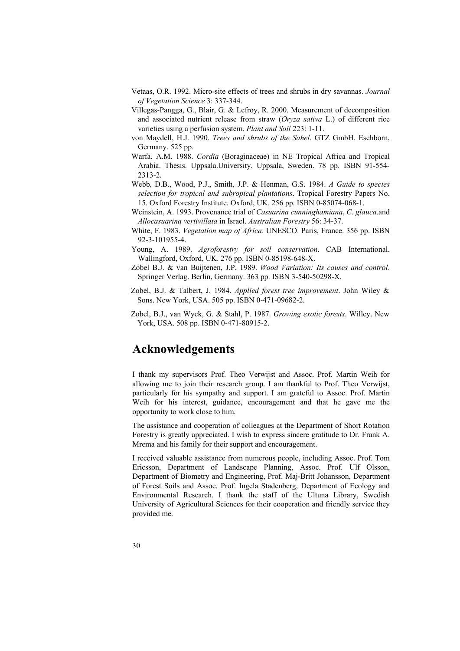- Vetaas, O.R. 1992. Micro-site effects of trees and shrubs in dry savannas. *Journal of Vegetation Science* 3: 337-344.
- Villegas-Pangga, G., Blair, G. & Lefroy, R. 2000. Measurement of decomposition and associated nutrient release from straw (*Oryza sativa* L.) of different rice varieties using a perfusion system. *Plant and Soil* 223: 1-11.
- von Maydell, H.J. 1990. *Trees and shrubs of the Sahel*. GTZ GmbH. Eschborn, Germany. 525 pp.
- Warfa, A.M. 1988. *Cordia* (Boraginaceae) in NE Tropical Africa and Tropical Arabia. Thesis. Uppsala.University. Uppsala, Sweden. 78 pp. ISBN 91-554- 2313-2.
- Webb, D.B., Wood, P.J., Smith, J.P. & Henman, G.S. 1984. *A Guide to species selection for tropical and subropical plantations*. Tropical Forestry Papers No. 15. Oxford Forestry Institute. Oxford, UK. 256 pp. ISBN 0-85074-068-1.
- Weinstein, A. 1993. Provenance trial of *Casuarina cunninghamiana*, *C. glauca*.and *Allocasuarina vertivillata* in Israel. *Australian Forestry* 56: 34-37.
- White, F. 1983. *Vegetation map of Africa*. UNESCO. Paris, France. 356 pp. ISBN 92-3-101955-4.
- Young, A. 1989. *Agroforestry for soil conservation*. CAB International. Wallingford, Oxford, UK. 276 pp. ISBN 0-85198-648-X.
- Zobel B.J. & van Buijtenen, J.P. 1989. *Wood Variation: Its causes and control.*  Springer Verlag. Berlin, Germany. 363 pp. ISBN 3-540-50298-X.
- Zobel, B.J. & Talbert, J. 1984. *Applied forest tree improvement*. John Wiley & Sons. New York, USA. 505 pp. ISBN 0-471-09682-2.
- Zobel, B.J., van Wyck, G. & Stahl, P. 1987. *Growing exotic forests*. Willey. New York, USA. 508 pp. ISBN 0-471-80915-2.

## **Acknowledgements**

I thank my supervisors Prof. Theo Verwijst and Assoc. Prof. Martin Weih for allowing me to join their research group. I am thankful to Prof. Theo Verwijst, particularly for his sympathy and support. I am grateful to Assoc. Prof. Martin Weih for his interest, guidance, encouragement and that he gave me the opportunity to work close to him.

The assistance and cooperation of colleagues at the Department of Short Rotation Forestry is greatly appreciated. I wish to express sincere gratitude to Dr. Frank A. Mrema and his family for their support and encouragement.

I received valuable assistance from numerous people, including Assoc. Prof. Tom Ericsson, Department of Landscape Planning, Assoc. Prof. Ulf Olsson, Department of Biometry and Engineering, Prof. Maj-Britt Johansson, Department of Forest Soils and Assoc. Prof. Ingela Stadenberg, Department of Ecology and Environmental Research. I thank the staff of the Ultuna Library, Swedish University of Agricultural Sciences for their cooperation and friendly service they provided me.